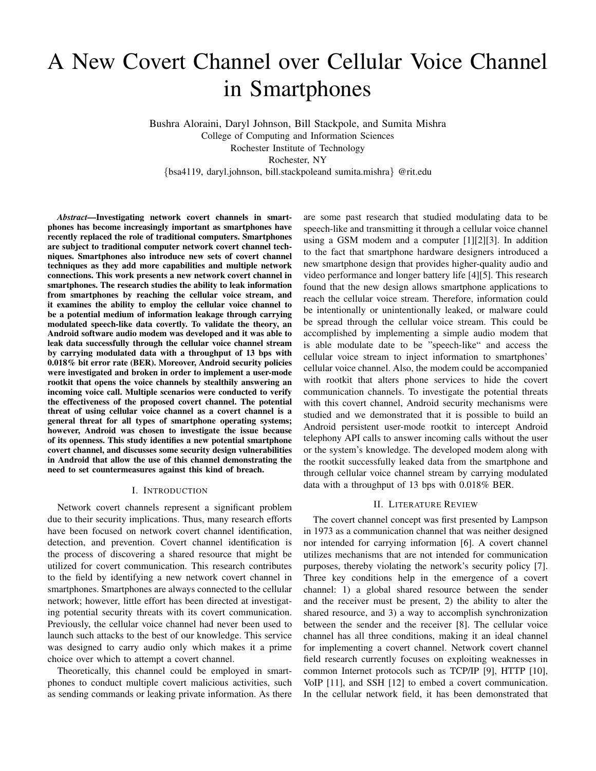# A New Covert Channel over Cellular Voice Channel in Smartphones

Bushra Aloraini, Daryl Johnson, Bill Stackpole, and Sumita Mishra College of Computing and Information Sciences Rochester Institute of Technology Rochester, NY {bsa4119, daryl.johnson, bill.stackpoleand sumita.mishra} @rit.edu

*Abstract*—Investigating network covert channels in smartphones has become increasingly important as smartphones have recently replaced the role of traditional computers. Smartphones are subject to traditional computer network covert channel techniques. Smartphones also introduce new sets of covert channel techniques as they add more capabilities and multiple network connections. This work presents a new network covert channel in smartphones. The research studies the ability to leak information from smartphones by reaching the cellular voice stream, and it examines the ability to employ the cellular voice channel to be a potential medium of information leakage through carrying modulated speech-like data covertly. To validate the theory, an Android software audio modem was developed and it was able to leak data successfully through the cellular voice channel stream by carrying modulated data with a throughput of 13 bps with 0.018% bit error rate (BER). Moreover, Android security policies were investigated and broken in order to implement a user-mode rootkit that opens the voice channels by stealthily answering an incoming voice call. Multiple scenarios were conducted to verify the effectiveness of the proposed covert channel. The potential threat of using cellular voice channel as a covert channel is a general threat for all types of smartphone operating systems; however, Android was chosen to investigate the issue because of its openness. This study identifies a new potential smartphone covert channel, and discusses some security design vulnerabilities in Android that allow the use of this channel demonstrating the need to set countermeasures against this kind of breach.

## I. INTRODUCTION

Network covert channels represent a significant problem due to their security implications. Thus, many research efforts have been focused on network covert channel identification, detection, and prevention. Covert channel identification is the process of discovering a shared resource that might be utilized for covert communication. This research contributes to the field by identifying a new network covert channel in smartphones. Smartphones are always connected to the cellular network; however, little effort has been directed at investigating potential security threats with its covert communication. Previously, the cellular voice channel had never been used to launch such attacks to the best of our knowledge. This service was designed to carry audio only which makes it a prime choice over which to attempt a covert channel.

Theoretically, this channel could be employed in smartphones to conduct multiple covert malicious activities, such as sending commands or leaking private information. As there are some past research that studied modulating data to be speech-like and transmitting it through a cellular voice channel using a GSM modem and a computer [1][2][3]. In addition to the fact that smartphone hardware designers introduced a new smartphone design that provides higher-quality audio and video performance and longer battery life [4][5]. This research found that the new design allows smartphone applications to reach the cellular voice stream. Therefore, information could be intentionally or unintentionally leaked, or malware could be spread through the cellular voice stream. This could be accomplished by implementing a simple audio modem that is able modulate date to be "speech-like" and access the cellular voice stream to inject information to smartphones' cellular voice channel. Also, the modem could be accompanied with rootkit that alters phone services to hide the covert communication channels. To investigate the potential threats with this covert channel, Android security mechanisms were studied and we demonstrated that it is possible to build an Android persistent user-mode rootkit to intercept Android telephony API calls to answer incoming calls without the user or the system's knowledge. The developed modem along with the rootkit successfully leaked data from the smartphone and through cellular voice channel stream by carrying modulated data with a throughput of 13 bps with 0.018% BER.

# II. LITERATURE REVIEW

The covert channel concept was first presented by Lampson in 1973 as a communication channel that was neither designed nor intended for carrying information [6]. A covert channel utilizes mechanisms that are not intended for communication purposes, thereby violating the network's security policy [7]. Three key conditions help in the emergence of a covert channel: 1) a global shared resource between the sender and the receiver must be present, 2) the ability to alter the shared resource, and 3) a way to accomplish synchronization between the sender and the receiver [8]. The cellular voice channel has all three conditions, making it an ideal channel for implementing a covert channel. Network covert channel field research currently focuses on exploiting weaknesses in common Internet protocols such as TCP/IP [9], HTTP [10], VoIP [11], and SSH [12] to embed a covert communication. In the cellular network field, it has been demonstrated that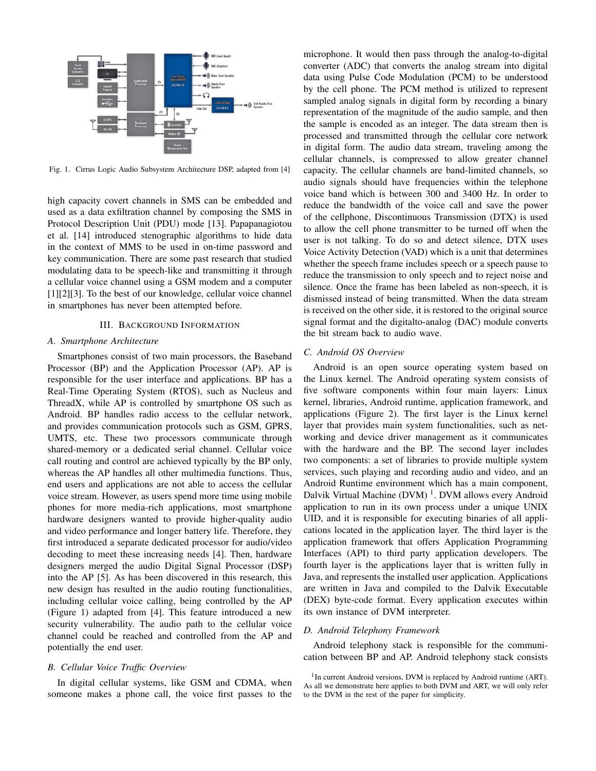

Fig. 1. Cirrus Logic Audio Subsystem Architecture DSP, adapted from [4]

high capacity covert channels in SMS can be embedded and used as a data exfiltration channel by composing the SMS in Protocol Description Unit (PDU) mode [13]. Papapanagiotou et al. [14] introduced stenographic algorithms to hide data in the context of MMS to be used in on-time password and key communication. There are some past research that studied modulating data to be speech-like and transmitting it through a cellular voice channel using a GSM modem and a computer [1][2][3]. To the best of our knowledge, cellular voice channel in smartphones has never been attempted before.

# III. BACKGROUND INFORMATION

#### *A. Smartphone Architecture*

Smartphones consist of two main processors, the Baseband Processor (BP) and the Application Processor (AP). AP is responsible for the user interface and applications. BP has a Real-Time Operating System (RTOS), such as Nucleus and ThreadX, while AP is controlled by smartphone OS such as Android. BP handles radio access to the cellular network, and provides communication protocols such as GSM, GPRS, UMTS, etc. These two processors communicate through shared-memory or a dedicated serial channel. Cellular voice call routing and control are achieved typically by the BP only, whereas the AP handles all other multimedia functions. Thus, end users and applications are not able to access the cellular voice stream. However, as users spend more time using mobile phones for more media-rich applications, most smartphone hardware designers wanted to provide higher-quality audio and video performance and longer battery life. Therefore, they first introduced a separate dedicated processor for audio/video decoding to meet these increasing needs [4]. Then, hardware designers merged the audio Digital Signal Processor (DSP) into the AP [5]. As has been discovered in this research, this new design has resulted in the audio routing functionalities, including cellular voice calling, being controlled by the AP (Figure 1) adapted from [4]. This feature introduced a new security vulnerability. The audio path to the cellular voice channel could be reached and controlled from the AP and potentially the end user.

#### *B. Cellular Voice Traffic Overview*

In digital cellular systems, like GSM and CDMA, when someone makes a phone call, the voice first passes to the microphone. It would then pass through the analog-to-digital converter (ADC) that converts the analog stream into digital data using Pulse Code Modulation (PCM) to be understood by the cell phone. The PCM method is utilized to represent sampled analog signals in digital form by recording a binary representation of the magnitude of the audio sample, and then the sample is encoded as an integer. The data stream then is processed and transmitted through the cellular core network in digital form. The audio data stream, traveling among the cellular channels, is compressed to allow greater channel capacity. The cellular channels are band-limited channels, so audio signals should have frequencies within the telephone voice band which is between 300 and 3400 Hz. In order to reduce the bandwidth of the voice call and save the power of the cellphone, Discontinuous Transmission (DTX) is used to allow the cell phone transmitter to be turned off when the user is not talking. To do so and detect silence, DTX uses Voice Activity Detection (VAD) which is a unit that determines whether the speech frame includes speech or a speech pause to reduce the transmission to only speech and to reject noise and silence. Once the frame has been labeled as non-speech, it is dismissed instead of being transmitted. When the data stream is received on the other side, it is restored to the original source signal format and the digitalto-analog (DAC) module converts the bit stream back to audio wave.

## *C. Android OS Overview*

Android is an open source operating system based on the Linux kernel. The Android operating system consists of five software components within four main layers: Linux kernel, libraries, Android runtime, application framework, and applications (Figure 2). The first layer is the Linux kernel layer that provides main system functionalities, such as networking and device driver management as it communicates with the hardware and the BP. The second layer includes two components: a set of libraries to provide multiple system services, such playing and recording audio and video, and an Android Runtime environment which has a main component, Dalvik Virtual Machine (DVM)<sup>1</sup>. DVM allows every Android application to run in its own process under a unique UNIX UID, and it is responsible for executing binaries of all applications located in the application layer. The third layer is the application framework that offers Application Programming Interfaces (API) to third party application developers. The fourth layer is the applications layer that is written fully in Java, and represents the installed user application. Applications are written in Java and compiled to the Dalvik Executable (DEX) byte-code format. Every application executes within its own instance of DVM interpreter.

## *D. Android Telephony Framework*

Android telephony stack is responsible for the communication between BP and AP. Android telephony stack consists

<sup>&</sup>lt;sup>1</sup>In current Android versions, DVM is replaced by Android runtime (ART). As all we demonstrate here applies to both DVM and ART, we will only refer to the DVM in the rest of the paper for simplicity.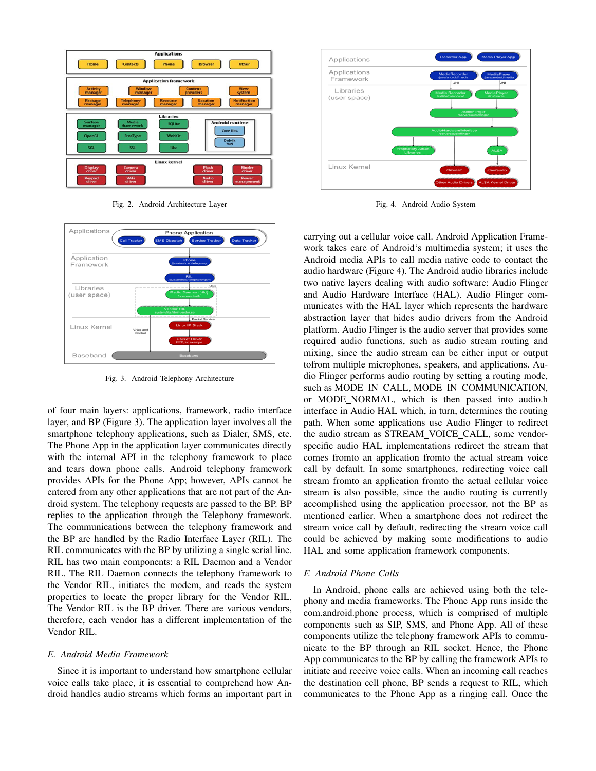

Fig. 2. Android Architecture Layer



Fig. 3. Android Telephony Architecture

of four main layers: applications, framework, radio interface layer, and BP (Figure 3). The application layer involves all the smartphone telephony applications, such as Dialer, SMS, etc. The Phone App in the application layer communicates directly with the internal API in the telephony framework to place and tears down phone calls. Android telephony framework provides APIs for the Phone App; however, APIs cannot be entered from any other applications that are not part of the Android system. The telephony requests are passed to the BP. BP replies to the application through the Telephony framework. The communications between the telephony framework and the BP are handled by the Radio Interface Layer (RIL). The RIL communicates with the BP by utilizing a single serial line. RIL has two main components: a RIL Daemon and a Vendor RIL. The RIL Daemon connects the telephony framework to the Vendor RIL, initiates the modem, and reads the system properties to locate the proper library for the Vendor RIL. The Vendor RIL is the BP driver. There are various vendors, therefore, each vendor has a different implementation of the Vendor RIL.

#### *E. Android Media Framework*

Since it is important to understand how smartphone cellular voice calls take place, it is essential to comprehend how Android handles audio streams which forms an important part in



Fig. 4. Android Audio System

carrying out a cellular voice call. Android Application Framework takes care of Android's multimedia system; it uses the Android media APIs to call media native code to contact the audio hardware (Figure 4). The Android audio libraries include two native layers dealing with audio software: Audio Flinger and Audio Hardware Interface (HAL). Audio Flinger communicates with the HAL layer which represents the hardware abstraction layer that hides audio drivers from the Android platform. Audio Flinger is the audio server that provides some required audio functions, such as audio stream routing and mixing, since the audio stream can be either input or output tofrom multiple microphones, speakers, and applications. Audio Flinger performs audio routing by setting a routing mode, such as MODE IN CALL, MODE IN COMMUNICATION, or MODE NORMAL, which is then passed into audio.h interface in Audio HAL which, in turn, determines the routing path. When some applications use Audio Flinger to redirect the audio stream as STREAM\_VOICE\_CALL, some vendorspecific audio HAL implementations redirect the stream that comes fromto an application fromto the actual stream voice call by default. In some smartphones, redirecting voice call stream fromto an application fromto the actual cellular voice stream is also possible, since the audio routing is currently accomplished using the application processor, not the BP as mentioned earlier. When a smartphone does not redirect the stream voice call by default, redirecting the stream voice call could be achieved by making some modifications to audio HAL and some application framework components.

## *F. Android Phone Calls*

In Android, phone calls are achieved using both the telephony and media frameworks. The Phone App runs inside the com.android.phone process, which is comprised of multiple components such as SIP, SMS, and Phone App. All of these components utilize the telephony framework APIs to communicate to the BP through an RIL socket. Hence, the Phone App communicates to the BP by calling the framework APIs to initiate and receive voice calls. When an incoming call reaches the destination cell phone, BP sends a request to RIL, which communicates to the Phone App as a ringing call. Once the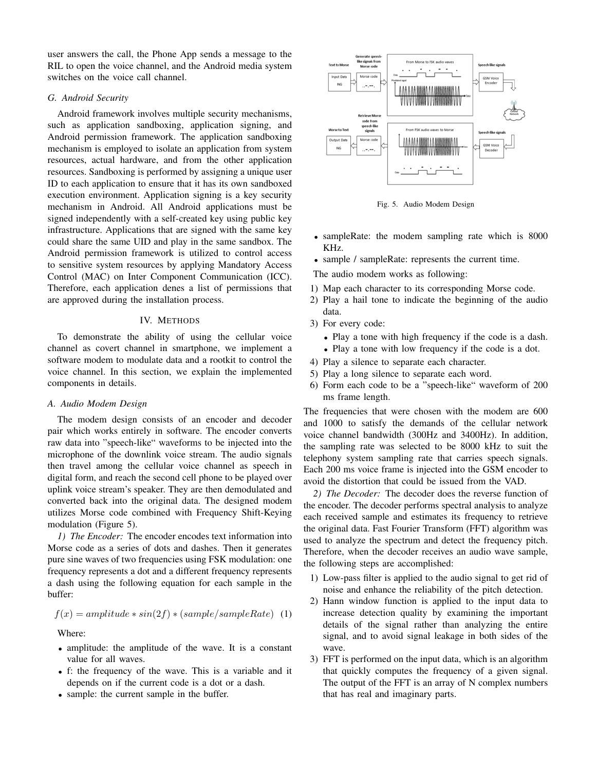user answers the call, the Phone App sends a message to the RIL to open the voice channel, and the Android media system switches on the voice call channel.

# *G. Android Security*

Android framework involves multiple security mechanisms, such as application sandboxing, application signing, and Android permission framework. The application sandboxing mechanism is employed to isolate an application from system resources, actual hardware, and from the other application resources. Sandboxing is performed by assigning a unique user ID to each application to ensure that it has its own sandboxed execution environment. Application signing is a key security mechanism in Android. All Android applications must be signed independently with a self-created key using public key infrastructure. Applications that are signed with the same key could share the same UID and play in the same sandbox. The Android permission framework is utilized to control access to sensitive system resources by applying Mandatory Access Control (MAC) on Inter Component Communication (ICC). Therefore, each application denes a list of permissions that are approved during the installation process.

# IV. METHODS

To demonstrate the ability of using the cellular voice channel as covert channel in smartphone, we implement a software modem to modulate data and a rootkit to control the voice channel. In this section, we explain the implemented components in details.

## *A. Audio Modem Design*

The modem design consists of an encoder and decoder pair which works entirely in software. The encoder converts raw data into "speech-like" waveforms to be injected into the microphone of the downlink voice stream. The audio signals then travel among the cellular voice channel as speech in digital form, and reach the second cell phone to be played over uplink voice stream's speaker. They are then demodulated and converted back into the original data. The designed modem utilizes Morse code combined with Frequency Shift-Keying modulation (Figure 5).

*1) The Encoder:* The encoder encodes text information into Morse code as a series of dots and dashes. Then it generates pure sine waves of two frequencies using FSK modulation: one frequency represents a dot and a different frequency represents a dash using the following equation for each sample in the buffer:

$$
f(x) = amplitude * sin(2f) * (sample/sampleRate)
$$
 (1)

Where:

- amplitude: the amplitude of the wave. It is a constant value for all waves.
- f: the frequency of the wave. This is a variable and it depends on if the current code is a dot or a dash.
- sample: the current sample in the buffer.



Fig. 5. Audio Modem Design

- sampleRate: the modem sampling rate which is 8000 KHz.
- sample / sampleRate: represents the current time.

The audio modem works as following:

- 1) Map each character to its corresponding Morse code.
- 2) Play a hail tone to indicate the beginning of the audio data.
- 3) For every code:
	- Play a tone with high frequency if the code is a dash.
	- Play a tone with low frequency if the code is a dot.
- 4) Play a silence to separate each character.
- 5) Play a long silence to separate each word.
- 6) Form each code to be a "speech-like" waveform of 200 ms frame length.

The frequencies that were chosen with the modem are 600 and 1000 to satisfy the demands of the cellular network voice channel bandwidth (300Hz and 3400Hz). In addition, the sampling rate was selected to be 8000 kHz to suit the telephony system sampling rate that carries speech signals. Each 200 ms voice frame is injected into the GSM encoder to avoid the distortion that could be issued from the VAD.

*2) The Decoder:* The decoder does the reverse function of the encoder. The decoder performs spectral analysis to analyze each received sample and estimates its frequency to retrieve the original data. Fast Fourier Transform (FFT) algorithm was used to analyze the spectrum and detect the frequency pitch. Therefore, when the decoder receives an audio wave sample, the following steps are accomplished:

- 1) Low-pass filter is applied to the audio signal to get rid of noise and enhance the reliability of the pitch detection.
- 2) Hann window function is applied to the input data to increase detection quality by examining the important details of the signal rather than analyzing the entire signal, and to avoid signal leakage in both sides of the wave.
- 3) FFT is performed on the input data, which is an algorithm that quickly computes the frequency of a given signal. The output of the FFT is an array of N complex numbers that has real and imaginary parts.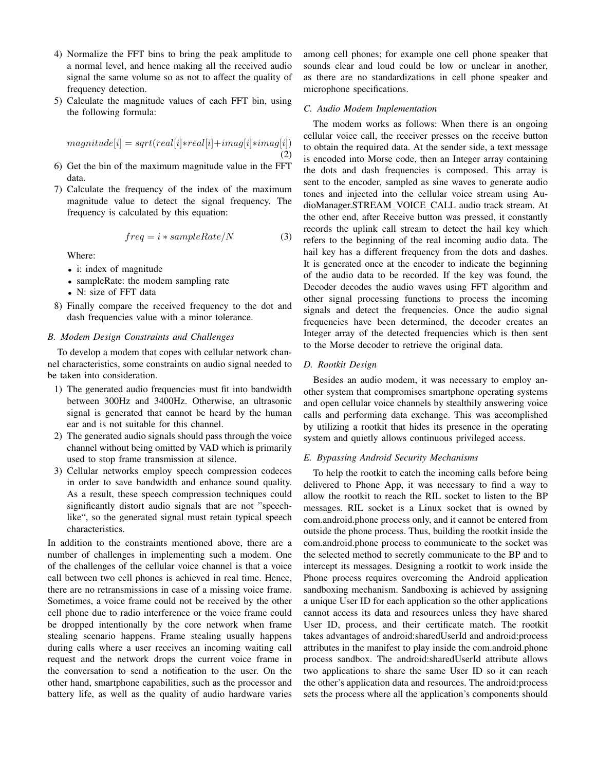- 4) Normalize the FFT bins to bring the peak amplitude to a normal level, and hence making all the received audio signal the same volume so as not to affect the quality of frequency detection.
- 5) Calculate the magnitude values of each FFT bin, using the following formula:

$$
magnitude[i] = sqrt-real[i]*real[i]+imag[i]*imag[i])
$$
\n(2)

- 6) Get the bin of the maximum magnitude value in the FFT data.
- 7) Calculate the frequency of the index of the maximum magnitude value to detect the signal frequency. The frequency is calculated by this equation:

$$
freq = i * sampleRate/N \tag{3}
$$

Where:

- i: index of magnitude
- sampleRate: the modem sampling rate
- N: size of FFT data
- 8) Finally compare the received frequency to the dot and dash frequencies value with a minor tolerance.

# *B. Modem Design Constraints and Challenges*

To develop a modem that copes with cellular network channel characteristics, some constraints on audio signal needed to be taken into consideration.

- 1) The generated audio frequencies must fit into bandwidth between 300Hz and 3400Hz. Otherwise, an ultrasonic signal is generated that cannot be heard by the human ear and is not suitable for this channel.
- 2) The generated audio signals should pass through the voice channel without being omitted by VAD which is primarily used to stop frame transmission at silence.
- 3) Cellular networks employ speech compression codeces in order to save bandwidth and enhance sound quality. As a result, these speech compression techniques could significantly distort audio signals that are not "speechlike", so the generated signal must retain typical speech characteristics.

In addition to the constraints mentioned above, there are a number of challenges in implementing such a modem. One of the challenges of the cellular voice channel is that a voice call between two cell phones is achieved in real time. Hence, there are no retransmissions in case of a missing voice frame. Sometimes, a voice frame could not be received by the other cell phone due to radio interference or the voice frame could be dropped intentionally by the core network when frame stealing scenario happens. Frame stealing usually happens during calls where a user receives an incoming waiting call request and the network drops the current voice frame in the conversation to send a notification to the user. On the other hand, smartphone capabilities, such as the processor and battery life, as well as the quality of audio hardware varies among cell phones; for example one cell phone speaker that sounds clear and loud could be low or unclear in another, as there are no standardizations in cell phone speaker and microphone specifications.

## *C. Audio Modem Implementation*

The modem works as follows: When there is an ongoing cellular voice call, the receiver presses on the receive button to obtain the required data. At the sender side, a text message is encoded into Morse code, then an Integer array containing the dots and dash frequencies is composed. This array is sent to the encoder, sampled as sine waves to generate audio tones and injected into the cellular voice stream using AudioManager.STREAM VOICE CALL audio track stream. At the other end, after Receive button was pressed, it constantly records the uplink call stream to detect the hail key which refers to the beginning of the real incoming audio data. The hail key has a different frequency from the dots and dashes. It is generated once at the encoder to indicate the beginning of the audio data to be recorded. If the key was found, the Decoder decodes the audio waves using FFT algorithm and other signal processing functions to process the incoming signals and detect the frequencies. Once the audio signal frequencies have been determined, the decoder creates an Integer array of the detected frequencies which is then sent to the Morse decoder to retrieve the original data.

# *D. Rootkit Design*

Besides an audio modem, it was necessary to employ another system that compromises smartphone operating systems and open cellular voice channels by stealthily answering voice calls and performing data exchange. This was accomplished by utilizing a rootkit that hides its presence in the operating system and quietly allows continuous privileged access.

## *E. Bypassing Android Security Mechanisms*

To help the rootkit to catch the incoming calls before being delivered to Phone App, it was necessary to find a way to allow the rootkit to reach the RIL socket to listen to the BP messages. RIL socket is a Linux socket that is owned by com.android.phone process only, and it cannot be entered from outside the phone process. Thus, building the rootkit inside the com.android.phone process to communicate to the socket was the selected method to secretly communicate to the BP and to intercept its messages. Designing a rootkit to work inside the Phone process requires overcoming the Android application sandboxing mechanism. Sandboxing is achieved by assigning a unique User ID for each application so the other applications cannot access its data and resources unless they have shared User ID, process, and their certificate match. The rootkit takes advantages of android:sharedUserId and android:process attributes in the manifest to play inside the com.android.phone process sandbox. The android:sharedUserId attribute allows two applications to share the same User ID so it can reach the other's application data and resources. The android:process sets the process where all the application's components should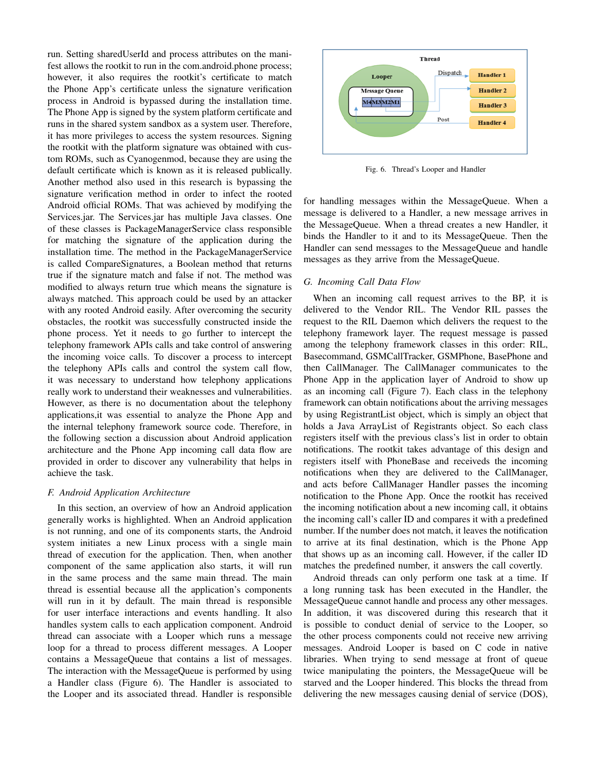run. Setting sharedUserId and process attributes on the manifest allows the rootkit to run in the com.android.phone process; however, it also requires the rootkit's certificate to match the Phone App's certificate unless the signature verification process in Android is bypassed during the installation time. The Phone App is signed by the system platform certificate and runs in the shared system sandbox as a system user. Therefore, it has more privileges to access the system resources. Signing the rootkit with the platform signature was obtained with custom ROMs, such as Cyanogenmod, because they are using the default certificate which is known as it is released publically. Another method also used in this research is bypassing the signature verification method in order to infect the rooted Android official ROMs. That was achieved by modifying the Services.jar. The Services.jar has multiple Java classes. One of these classes is PackageManagerService class responsible for matching the signature of the application during the installation time. The method in the PackageManagerService is called CompareSignatures, a Boolean method that returns true if the signature match and false if not. The method was modified to always return true which means the signature is always matched. This approach could be used by an attacker with any rooted Android easily. After overcoming the security obstacles, the rootkit was successfully constructed inside the phone process. Yet it needs to go further to intercept the telephony framework APIs calls and take control of answering the incoming voice calls. To discover a process to intercept the telephony APIs calls and control the system call flow, it was necessary to understand how telephony applications really work to understand their weaknesses and vulnerabilities. However, as there is no documentation about the telephony applications,it was essential to analyze the Phone App and the internal telephony framework source code. Therefore, in the following section a discussion about Android application architecture and the Phone App incoming call data flow are provided in order to discover any vulnerability that helps in achieve the task.

## *F. Android Application Architecture*

In this section, an overview of how an Android application generally works is highlighted. When an Android application is not running, and one of its components starts, the Android system initiates a new Linux process with a single main thread of execution for the application. Then, when another component of the same application also starts, it will run in the same process and the same main thread. The main thread is essential because all the application's components will run in it by default. The main thread is responsible for user interface interactions and events handling. It also handles system calls to each application component. Android thread can associate with a Looper which runs a message loop for a thread to process different messages. A Looper contains a MessageQueue that contains a list of messages. The interaction with the MessageQueue is performed by using a Handler class (Figure 6). The Handler is associated to the Looper and its associated thread. Handler is responsible



Fig. 6. Thread's Looper and Handler

for handling messages within the MessageQueue. When a message is delivered to a Handler, a new message arrives in the MessageQueue. When a thread creates a new Handler, it binds the Handler to it and to its MessageQueue. Then the Handler can send messages to the MessageQueue and handle messages as they arrive from the MessageQueue.

## *G. Incoming Call Data Flow*

When an incoming call request arrives to the BP, it is delivered to the Vendor RIL. The Vendor RIL passes the request to the RIL Daemon which delivers the request to the telephony framework layer. The request message is passed among the telephony framework classes in this order: RIL, Basecommand, GSMCallTracker, GSMPhone, BasePhone and then CallManager. The CallManager communicates to the Phone App in the application layer of Android to show up as an incoming call (Figure 7). Each class in the telephony framework can obtain notifications about the arriving messages by using RegistrantList object, which is simply an object that holds a Java ArrayList of Registrants object. So each class registers itself with the previous class's list in order to obtain notifications. The rootkit takes advantage of this design and registers itself with PhoneBase and receiveds the incoming notifications when they are delivered to the CallManager, and acts before CallManager Handler passes the incoming notification to the Phone App. Once the rootkit has received the incoming notification about a new incoming call, it obtains the incoming call's caller ID and compares it with a predefined number. If the number does not match, it leaves the notification to arrive at its final destination, which is the Phone App that shows up as an incoming call. However, if the caller ID matches the predefined number, it answers the call covertly.

Android threads can only perform one task at a time. If a long running task has been executed in the Handler, the MessageQueue cannot handle and process any other messages. In addition, it was discovered during this research that it is possible to conduct denial of service to the Looper, so the other process components could not receive new arriving messages. Android Looper is based on C code in native libraries. When trying to send message at front of queue twice manipulating the pointers, the MessageQueue will be starved and the Looper hindered. This blocks the thread from delivering the new messages causing denial of service (DOS),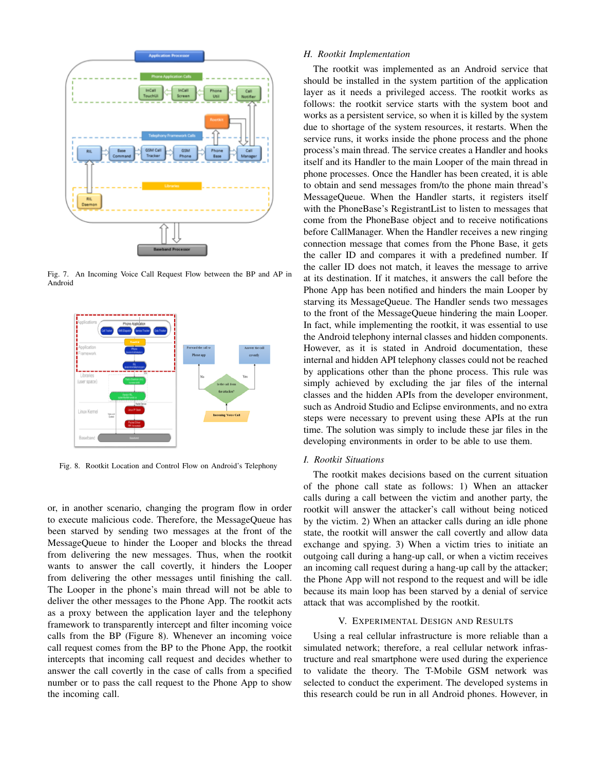

Fig. 7. An Incoming Voice Call Request Flow between the BP and AP in Android



Fig. 8. Rootkit Location and Control Flow on Android's Telephony

or, in another scenario, changing the program flow in order to execute malicious code. Therefore, the MessageQueue has been starved by sending two messages at the front of the MessageQueue to hinder the Looper and blocks the thread from delivering the new messages. Thus, when the rootkit wants to answer the call covertly, it hinders the Looper from delivering the other messages until finishing the call. The Looper in the phone's main thread will not be able to deliver the other messages to the Phone App. The rootkit acts as a proxy between the application layer and the telephony framework to transparently intercept and filter incoming voice calls from the BP (Figure 8). Whenever an incoming voice call request comes from the BP to the Phone App, the rootkit intercepts that incoming call request and decides whether to answer the call covertly in the case of calls from a specified number or to pass the call request to the Phone App to show the incoming call.

# *H. Rootkit Implementation*

The rootkit was implemented as an Android service that should be installed in the system partition of the application layer as it needs a privileged access. The rootkit works as follows: the rootkit service starts with the system boot and works as a persistent service, so when it is killed by the system due to shortage of the system resources, it restarts. When the service runs, it works inside the phone process and the phone process's main thread. The service creates a Handler and hooks itself and its Handler to the main Looper of the main thread in phone processes. Once the Handler has been created, it is able to obtain and send messages from/to the phone main thread's MessageQueue. When the Handler starts, it registers itself with the PhoneBase's RegistrantList to listen to messages that come from the PhoneBase object and to receive notifications before CallManager. When the Handler receives a new ringing connection message that comes from the Phone Base, it gets the caller ID and compares it with a predefined number. If the caller ID does not match, it leaves the message to arrive at its destination. If it matches, it answers the call before the Phone App has been notified and hinders the main Looper by starving its MessageQueue. The Handler sends two messages to the front of the MessageQueue hindering the main Looper. In fact, while implementing the rootkit, it was essential to use the Android telephony internal classes and hidden components. However, as it is stated in Android documentation, these internal and hidden API telephony classes could not be reached by applications other than the phone process. This rule was simply achieved by excluding the jar files of the internal classes and the hidden APIs from the developer environment, such as Android Studio and Eclipse environments, and no extra steps were necessary to prevent using these APIs at the run time. The solution was simply to include these jar files in the developing environments in order to be able to use them.

# *I. Rootkit Situations*

The rootkit makes decisions based on the current situation of the phone call state as follows: 1) When an attacker calls during a call between the victim and another party, the rootkit will answer the attacker's call without being noticed by the victim. 2) When an attacker calls during an idle phone state, the rootkit will answer the call covertly and allow data exchange and spying. 3) When a victim tries to initiate an outgoing call during a hang-up call, or when a victim receives an incoming call request during a hang-up call by the attacker; the Phone App will not respond to the request and will be idle because its main loop has been starved by a denial of service attack that was accomplished by the rootkit.

# V. EXPERIMENTAL DESIGN AND RESULTS

Using a real cellular infrastructure is more reliable than a simulated network; therefore, a real cellular network infrastructure and real smartphone were used during the experience to validate the theory. The T-Mobile GSM network was selected to conduct the experiment. The developed systems in this research could be run in all Android phones. However, in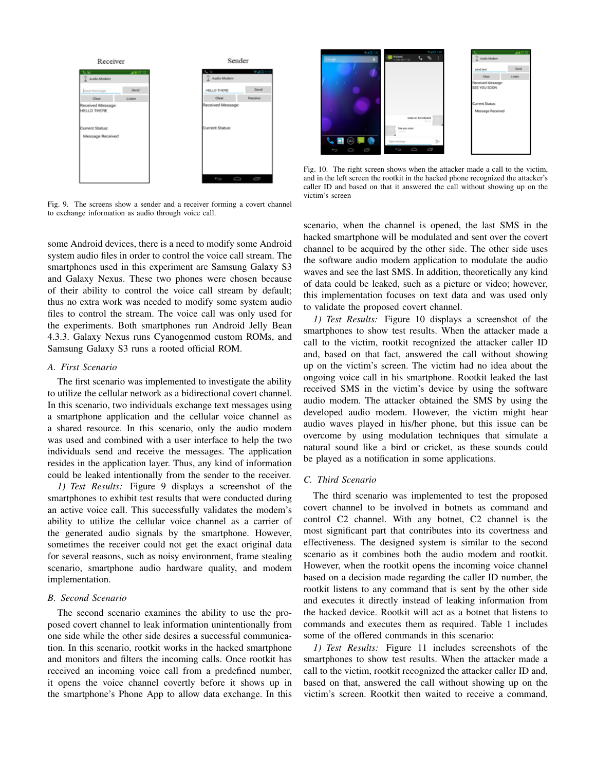

Fig. 9. The screens show a sender and a receiver forming a covert channel to exchange information as audio through voice call.

some Android devices, there is a need to modify some Android system audio files in order to control the voice call stream. The smartphones used in this experiment are Samsung Galaxy S3 and Galaxy Nexus. These two phones were chosen because of their ability to control the voice call stream by default; thus no extra work was needed to modify some system audio files to control the stream. The voice call was only used for the experiments. Both smartphones run Android Jelly Bean 4.3.3. Galaxy Nexus runs Cyanogenmod custom ROMs, and Samsung Galaxy S3 runs a rooted official ROM.

## *A. First Scenario*

The first scenario was implemented to investigate the ability to utilize the cellular network as a bidirectional covert channel. In this scenario, two individuals exchange text messages using a smartphone application and the cellular voice channel as a shared resource. In this scenario, only the audio modem was used and combined with a user interface to help the two individuals send and receive the messages. The application resides in the application layer. Thus, any kind of information could be leaked intentionally from the sender to the receiver.

*1) Test Results:* Figure 9 displays a screenshot of the smartphones to exhibit test results that were conducted during an active voice call. This successfully validates the modem's ability to utilize the cellular voice channel as a carrier of the generated audio signals by the smartphone. However, sometimes the receiver could not get the exact original data for several reasons, such as noisy environment, frame stealing scenario, smartphone audio hardware quality, and modem implementation.

### *B. Second Scenario*

The second scenario examines the ability to use the proposed covert channel to leak information unintentionally from one side while the other side desires a successful communication. In this scenario, rootkit works in the hacked smartphone and monitors and filters the incoming calls. Once rootkit has received an incoming voice call from a predefined number, it opens the voice channel covertly before it shows up in the smartphone's Phone App to allow data exchange. In this



Fig. 10. The right screen shows when the attacker made a call to the victim, and in the left screen the rootkit in the hacked phone recognized the attacker's caller ID and based on that it answered the call without showing up on the victim's screen

scenario, when the channel is opened, the last SMS in the hacked smartphone will be modulated and sent over the covert channel to be acquired by the other side. The other side uses the software audio modem application to modulate the audio waves and see the last SMS. In addition, theoretically any kind of data could be leaked, such as a picture or video; however, this implementation focuses on text data and was used only to validate the proposed covert channel.

*1) Test Results:* Figure 10 displays a screenshot of the smartphones to show test results. When the attacker made a call to the victim, rootkit recognized the attacker caller ID and, based on that fact, answered the call without showing up on the victim's screen. The victim had no idea about the ongoing voice call in his smartphone. Rootkit leaked the last received SMS in the victim's device by using the software audio modem. The attacker obtained the SMS by using the developed audio modem. However, the victim might hear audio waves played in his/her phone, but this issue can be overcome by using modulation techniques that simulate a natural sound like a bird or cricket, as these sounds could be played as a notification in some applications.

# *C. Third Scenario*

The third scenario was implemented to test the proposed covert channel to be involved in botnets as command and control C2 channel. With any botnet, C2 channel is the most significant part that contributes into its covertness and effectiveness. The designed system is similar to the second scenario as it combines both the audio modem and rootkit. However, when the rootkit opens the incoming voice channel based on a decision made regarding the caller ID number, the rootkit listens to any command that is sent by the other side and executes it directly instead of leaking information from the hacked device. Rootkit will act as a botnet that listens to commands and executes them as required. Table 1 includes some of the offered commands in this scenario:

*1) Test Results:* Figure 11 includes screenshots of the smartphones to show test results. When the attacker made a call to the victim, rootkit recognized the attacker caller ID and, based on that, answered the call without showing up on the victim's screen. Rootkit then waited to receive a command,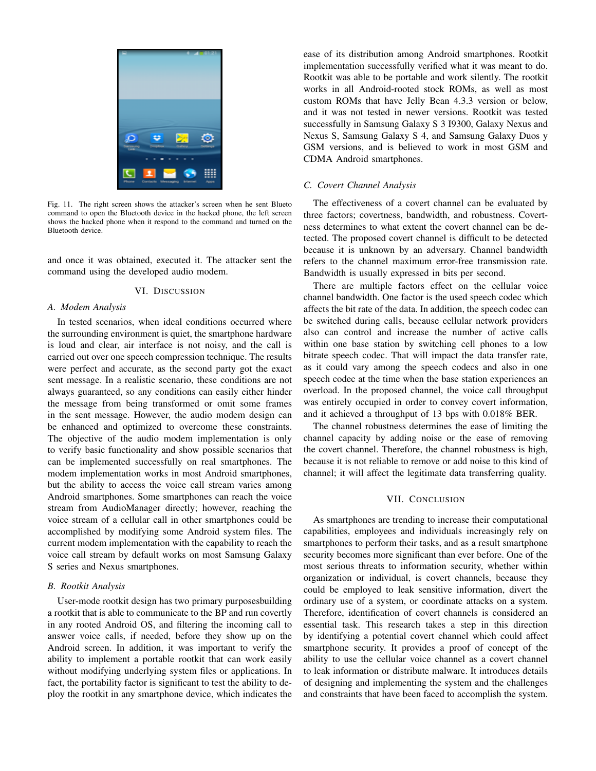

Fig. 11. The right screen shows the attacker's screen when he sent Blueto command to open the Bluetooth device in the hacked phone, the left screen shows the hacked phone when it respond to the command and turned on the Bluetooth device.

and once it was obtained, executed it. The attacker sent the command using the developed audio modem.

### VI. DISCUSSION

#### *A. Modem Analysis*

In tested scenarios, when ideal conditions occurred where the surrounding environment is quiet, the smartphone hardware is loud and clear, air interface is not noisy, and the call is carried out over one speech compression technique. The results were perfect and accurate, as the second party got the exact sent message. In a realistic scenario, these conditions are not always guaranteed, so any conditions can easily either hinder the message from being transformed or omit some frames in the sent message. However, the audio modem design can be enhanced and optimized to overcome these constraints. The objective of the audio modem implementation is only to verify basic functionality and show possible scenarios that can be implemented successfully on real smartphones. The modem implementation works in most Android smartphones, but the ability to access the voice call stream varies among Android smartphones. Some smartphones can reach the voice stream from AudioManager directly; however, reaching the voice stream of a cellular call in other smartphones could be accomplished by modifying some Android system files. The current modem implementation with the capability to reach the voice call stream by default works on most Samsung Galaxy S series and Nexus smartphones.

## *B. Rootkit Analysis*

User-mode rootkit design has two primary purposesbuilding a rootkit that is able to communicate to the BP and run covertly in any rooted Android OS, and filtering the incoming call to answer voice calls, if needed, before they show up on the Android screen. In addition, it was important to verify the ability to implement a portable rootkit that can work easily without modifying underlying system files or applications. In fact, the portability factor is significant to test the ability to deploy the rootkit in any smartphone device, which indicates the ease of its distribution among Android smartphones. Rootkit implementation successfully verified what it was meant to do. Rootkit was able to be portable and work silently. The rootkit works in all Android-rooted stock ROMs, as well as most custom ROMs that have Jelly Bean 4.3.3 version or below, and it was not tested in newer versions. Rootkit was tested successfully in Samsung Galaxy S 3 I9300, Galaxy Nexus and Nexus S, Samsung Galaxy S 4, and Samsung Galaxy Duos y GSM versions, and is believed to work in most GSM and CDMA Android smartphones.

## *C. Covert Channel Analysis*

The effectiveness of a covert channel can be evaluated by three factors; covertness, bandwidth, and robustness. Covertness determines to what extent the covert channel can be detected. The proposed covert channel is difficult to be detected because it is unknown by an adversary. Channel bandwidth refers to the channel maximum error-free transmission rate. Bandwidth is usually expressed in bits per second.

There are multiple factors effect on the cellular voice channel bandwidth. One factor is the used speech codec which affects the bit rate of the data. In addition, the speech codec can be switched during calls, because cellular network providers also can control and increase the number of active calls within one base station by switching cell phones to a low bitrate speech codec. That will impact the data transfer rate, as it could vary among the speech codecs and also in one speech codec at the time when the base station experiences an overload. In the proposed channel, the voice call throughput was entirely occupied in order to convey covert information, and it achieved a throughput of 13 bps with 0.018% BER.

The channel robustness determines the ease of limiting the channel capacity by adding noise or the ease of removing the covert channel. Therefore, the channel robustness is high, because it is not reliable to remove or add noise to this kind of channel; it will affect the legitimate data transferring quality.

## VII. CONCLUSION

As smartphones are trending to increase their computational capabilities, employees and individuals increasingly rely on smartphones to perform their tasks, and as a result smartphone security becomes more significant than ever before. One of the most serious threats to information security, whether within organization or individual, is covert channels, because they could be employed to leak sensitive information, divert the ordinary use of a system, or coordinate attacks on a system. Therefore, identification of covert channels is considered an essential task. This research takes a step in this direction by identifying a potential covert channel which could affect smartphone security. It provides a proof of concept of the ability to use the cellular voice channel as a covert channel to leak information or distribute malware. It introduces details of designing and implementing the system and the challenges and constraints that have been faced to accomplish the system.